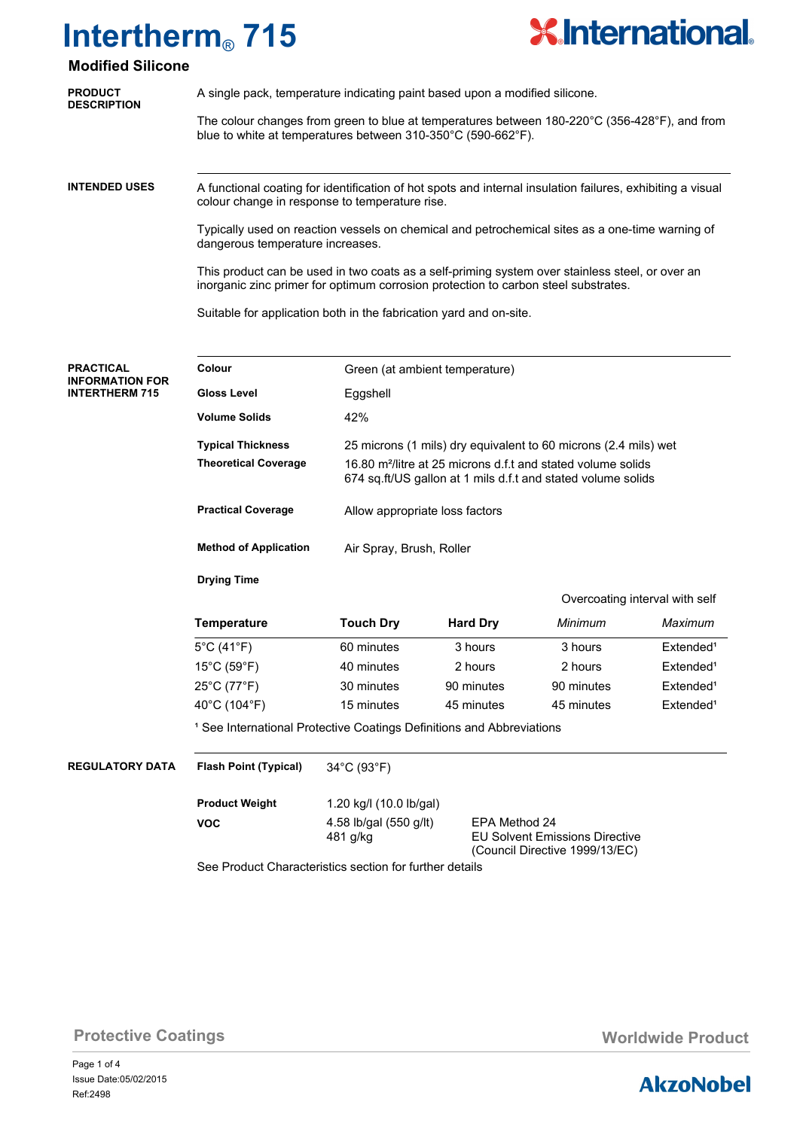

## **Modified Silicone**

| <b>PRODUCT</b><br><b>DESCRIPTION</b>            | A single pack, temperature indicating paint based upon a modified silicone.                                                                                                                                                                                                                                                  |                                                                                                                                |                                |            |                                |  |                                                                    |
|-------------------------------------------------|------------------------------------------------------------------------------------------------------------------------------------------------------------------------------------------------------------------------------------------------------------------------------------------------------------------------------|--------------------------------------------------------------------------------------------------------------------------------|--------------------------------|------------|--------------------------------|--|--------------------------------------------------------------------|
|                                                 |                                                                                                                                                                                                                                                                                                                              |                                                                                                                                |                                |            |                                |  |                                                                    |
|                                                 | The colour changes from green to blue at temperatures between 180-220°C (356-428°F), and from<br>blue to white at temperatures between 310-350°C (590-662°F).                                                                                                                                                                |                                                                                                                                |                                |            |                                |  |                                                                    |
| <b>INTENDED USES</b>                            |                                                                                                                                                                                                                                                                                                                              |                                                                                                                                |                                |            |                                |  |                                                                    |
|                                                 | A functional coating for identification of hot spots and internal insulation failures, exhibiting a visual<br>colour change in response to temperature rise.                                                                                                                                                                 |                                                                                                                                |                                |            |                                |  |                                                                    |
|                                                 | Typically used on reaction vessels on chemical and petrochemical sites as a one-time warning of<br>dangerous temperature increases.<br>This product can be used in two coats as a self-priming system over stainless steel, or over an<br>inorganic zinc primer for optimum corrosion protection to carbon steel substrates. |                                                                                                                                |                                |            |                                |  |                                                                    |
|                                                 |                                                                                                                                                                                                                                                                                                                              |                                                                                                                                |                                |            |                                |  | Suitable for application both in the fabrication yard and on-site. |
|                                                 | <b>PRACTICAL</b>                                                                                                                                                                                                                                                                                                             | Colour                                                                                                                         | Green (at ambient temperature) |            |                                |  |                                                                    |
| <b>INFORMATION FOR</b><br><b>INTERTHERM 715</b> | <b>Gloss Level</b>                                                                                                                                                                                                                                                                                                           | Eggshell                                                                                                                       |                                |            |                                |  |                                                                    |
|                                                 | <b>Volume Solids</b>                                                                                                                                                                                                                                                                                                         | 42%                                                                                                                            |                                |            |                                |  |                                                                    |
|                                                 | <b>Typical Thickness</b>                                                                                                                                                                                                                                                                                                     | 25 microns (1 mils) dry equivalent to 60 microns (2.4 mils) wet                                                                |                                |            |                                |  |                                                                    |
|                                                 | <b>Theoretical Coverage</b><br>16.80 m <sup>2</sup> /litre at 25 microns d.f.t and stated volume solids<br>674 sq.ft/US gallon at 1 mils d.f.t and stated volume solids                                                                                                                                                      |                                                                                                                                |                                |            |                                |  |                                                                    |
|                                                 | <b>Practical Coverage</b>                                                                                                                                                                                                                                                                                                    | Allow appropriate loss factors                                                                                                 |                                |            |                                |  |                                                                    |
|                                                 | <b>Method of Application</b>                                                                                                                                                                                                                                                                                                 | Air Spray, Brush, Roller                                                                                                       |                                |            |                                |  |                                                                    |
|                                                 | <b>Drying Time</b>                                                                                                                                                                                                                                                                                                           |                                                                                                                                |                                |            |                                |  |                                                                    |
|                                                 |                                                                                                                                                                                                                                                                                                                              |                                                                                                                                |                                |            | Overcoating interval with self |  |                                                                    |
|                                                 | <b>Temperature</b>                                                                                                                                                                                                                                                                                                           | <b>Touch Dry</b>                                                                                                               | <b>Hard Dry</b>                | Minimum    | Maximum                        |  |                                                                    |
|                                                 | $5^{\circ}$ C (41 $^{\circ}$ F)                                                                                                                                                                                                                                                                                              | 60 minutes                                                                                                                     | 3 hours                        | 3 hours    | Extended <sup>1</sup>          |  |                                                                    |
|                                                 | $15^{\circ}$ C (59 $^{\circ}$ F)                                                                                                                                                                                                                                                                                             | 40 minutes                                                                                                                     | 2 hours                        | 2 hours    | Extended <sup>1</sup>          |  |                                                                    |
|                                                 | 25°C (77°F)                                                                                                                                                                                                                                                                                                                  | 30 minutes                                                                                                                     | 90 minutes                     | 90 minutes | Extended <sup>1</sup>          |  |                                                                    |
|                                                 | 40°C (104°F)                                                                                                                                                                                                                                                                                                                 | 15 minutes                                                                                                                     | 45 minutes                     | 45 minutes | Extended <sup>1</sup>          |  |                                                                    |
|                                                 | <sup>1</sup> See International Protective Coatings Definitions and Abbreviations                                                                                                                                                                                                                                             |                                                                                                                                |                                |            |                                |  |                                                                    |
| <b>REGULATORY DATA</b>                          | <b>Flash Point (Typical)</b>                                                                                                                                                                                                                                                                                                 | 34°C (93°F)                                                                                                                    |                                |            |                                |  |                                                                    |
|                                                 | <b>Product Weight</b>                                                                                                                                                                                                                                                                                                        | 1.20 kg/l (10.0 lb/gal)                                                                                                        |                                |            |                                |  |                                                                    |
|                                                 | <b>VOC</b>                                                                                                                                                                                                                                                                                                                   | 4.58 lb/gal (550 g/lt)<br>EPA Method 24<br><b>EU Solvent Emissions Directive</b><br>481 g/kg<br>(Council Directive 1999/13/EC) |                                |            |                                |  |                                                                    |

See Product Characteristics section for further details

**Protective Coatings Worldwide Product Worldwide Product** 

Page 1 of 4 Ref:2498 Issue Date:05/02/2015

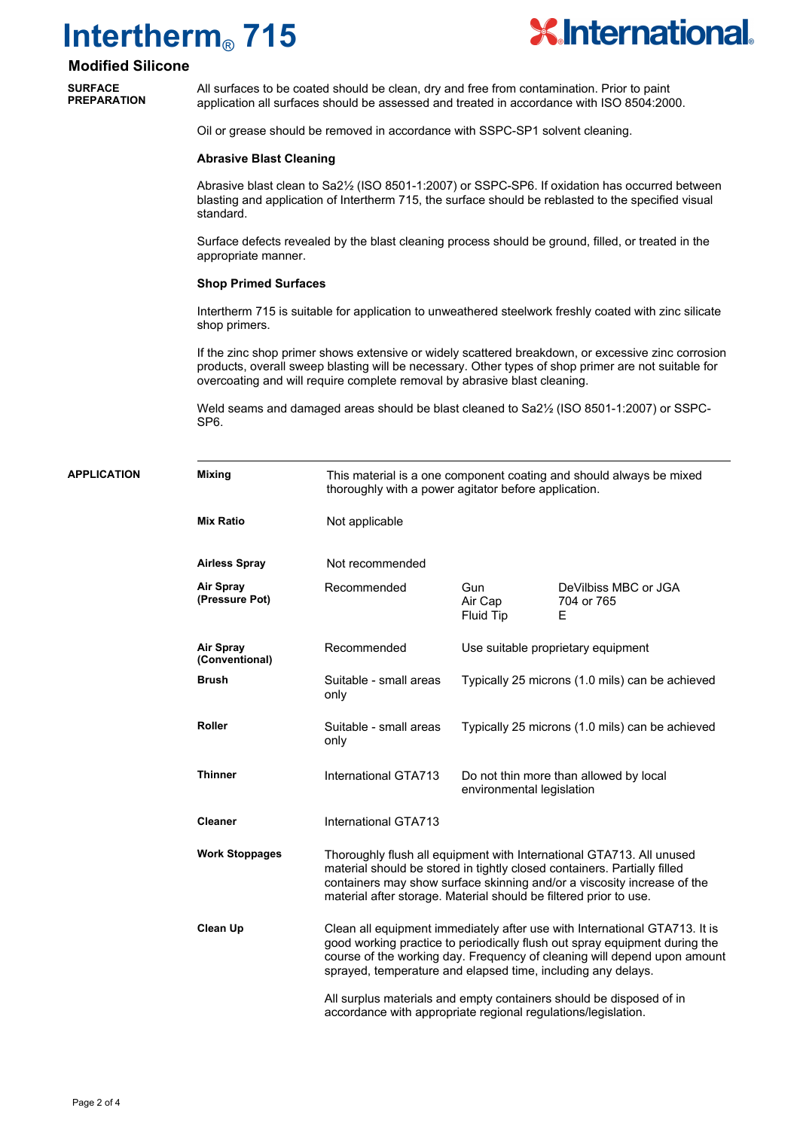

### **Modified Silicone**

**SURFACE PREPARATION**

**APPLICATION Mixing**

All surfaces to be coated should be clean, dry and free from contamination. Prior to paint application all surfaces should be assessed and treated in accordance with ISO 8504:2000.

Oil or grease should be removed in accordance with SSPC-SP1 solvent cleaning.

#### **Abrasive Blast Cleaning**

Abrasive blast clean to Sa2½ (ISO 8501-1:2007) or SSPC-SP6. If oxidation has occurred between blasting and application of Intertherm 715, the surface should be reblasted to the specified visual standard.

Surface defects revealed by the blast cleaning process should be ground, filled, or treated in the appropriate manner.

### **Shop Primed Surfaces**

Intertherm 715 is suitable for application to unweathered steelwork freshly coated with zinc silicate shop primers.

If the zinc shop primer shows extensive or widely scattered breakdown, or excessive zinc corrosion products, overall sweep blasting will be necessary. Other types of shop primer are not suitable for overcoating and will require complete removal by abrasive blast cleaning.

Weld seams and damaged areas should be blast cleaned to Sa2<sup>1</sup>/<sub>2</sub> (ISO 8501-1:2007) or SSPC-SP6.

| <b>TION</b> | <b>Mixing</b>                                                                                                                        | This material is a one component coating and should always be mixed<br>thoroughly with a power agitator before application.                                                                                                                                                                          |                             |                                                 |  |
|-------------|--------------------------------------------------------------------------------------------------------------------------------------|------------------------------------------------------------------------------------------------------------------------------------------------------------------------------------------------------------------------------------------------------------------------------------------------------|-----------------------------|-------------------------------------------------|--|
|             | <b>Mix Ratio</b>                                                                                                                     | Not applicable                                                                                                                                                                                                                                                                                       |                             |                                                 |  |
|             | <b>Airless Spray</b>                                                                                                                 | Not recommended                                                                                                                                                                                                                                                                                      |                             |                                                 |  |
|             | Air Spray<br>(Pressure Pot)                                                                                                          | Recommended                                                                                                                                                                                                                                                                                          | Gun<br>Air Cap<br>Fluid Tip | DeVilbiss MBC or JGA<br>704 or 765<br>E         |  |
|             | Air Spray<br>(Conventional)                                                                                                          | Recommended                                                                                                                                                                                                                                                                                          |                             | Use suitable proprietary equipment              |  |
|             | <b>Brush</b>                                                                                                                         | Suitable - small areas<br>only                                                                                                                                                                                                                                                                       |                             | Typically 25 microns (1.0 mils) can be achieved |  |
|             | <b>Roller</b>                                                                                                                        | Suitable - small areas<br>only                                                                                                                                                                                                                                                                       |                             | Typically 25 microns (1.0 mils) can be achieved |  |
|             | <b>Thinner</b>                                                                                                                       | International GTA713                                                                                                                                                                                                                                                                                 | environmental legislation   | Do not thin more than allowed by local          |  |
|             | <b>Cleaner</b>                                                                                                                       | International GTA713                                                                                                                                                                                                                                                                                 |                             |                                                 |  |
|             | <b>Work Stoppages</b>                                                                                                                | Thoroughly flush all equipment with International GTA713. All unused<br>material should be stored in tightly closed containers. Partially filled<br>containers may show surface skinning and/or a viscosity increase of the<br>material after storage. Material should be filtered prior to use.     |                             |                                                 |  |
|             | Clean Up                                                                                                                             | Clean all equipment immediately after use with International GTA713. It is<br>good working practice to periodically flush out spray equipment during the<br>course of the working day. Frequency of cleaning will depend upon amount<br>sprayed, temperature and elapsed time, including any delays. |                             |                                                 |  |
|             | All surplus materials and empty containers should be disposed of in<br>accordance with appropriate regional regulations/legislation. |                                                                                                                                                                                                                                                                                                      |                             |                                                 |  |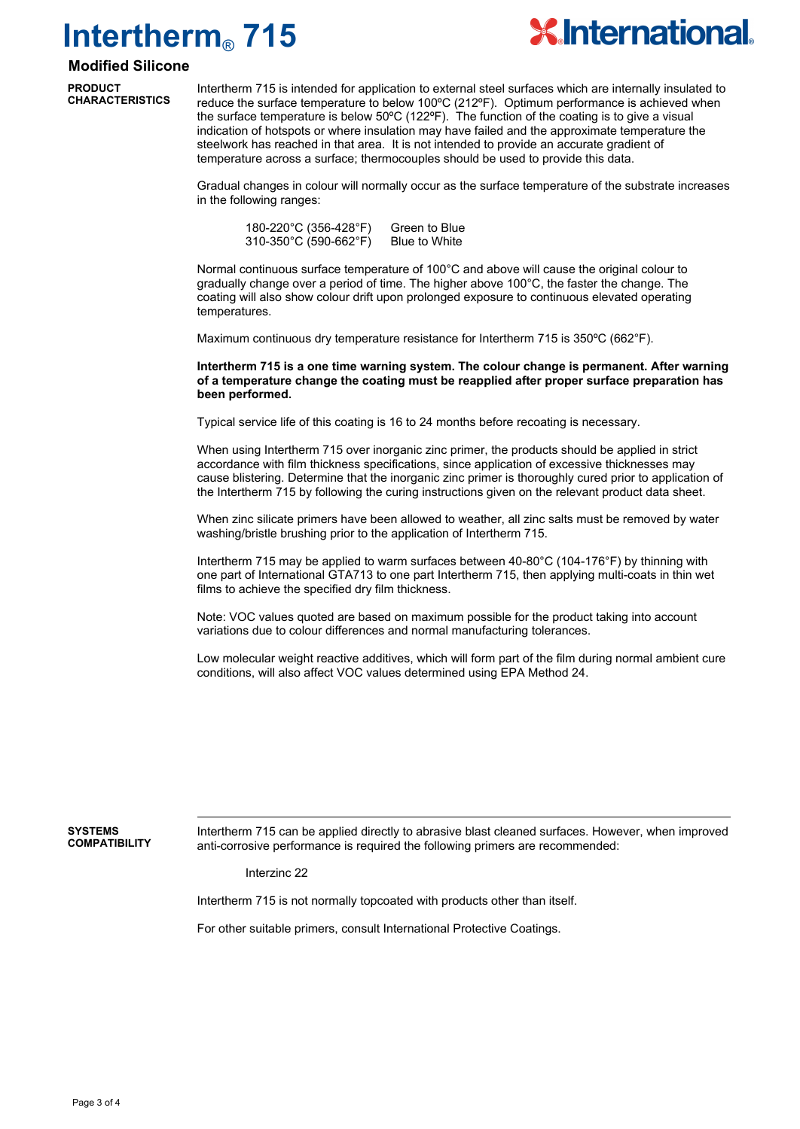

### **Modified Silicone**

**PRODUCT CHARACTERISTICS**

Intertherm 715 is intended for application to external steel surfaces which are internally insulated to reduce the surface temperature to below 100ºC (212ºF). Optimum performance is achieved when the surface temperature is below  $50^{\circ}$ C (122 $^{\circ}$ F). The function of the coating is to give a visual indication of hotspots or where insulation may have failed and the approximate temperature the steelwork has reached in that area. It is not intended to provide an accurate gradient of temperature across a surface; thermocouples should be used to provide this data.

Gradual changes in colour will normally occur as the surface temperature of the substrate increases in the following ranges:

| 180-220°C (356-428°F)  | Green to Blue |
|------------------------|---------------|
| 310-350°C (590-662°F). | Blue to White |

Normal continuous surface temperature of 100°C and above will cause the original colour to gradually change over a period of time. The higher above 100°C, the faster the change. The coating will also show colour drift upon prolonged exposure to continuous elevated operating temperatures.

Maximum continuous dry temperature resistance for Intertherm 715 is 350ºC (662°F).

**Intertherm 715 is a one time warning system. The colour change is permanent. After warning of a temperature change the coating must be reapplied after proper surface preparation has been performed.**

Typical service life of this coating is 16 to 24 months before recoating is necessary.

When using Intertherm 715 over inorganic zinc primer, the products should be applied in strict accordance with film thickness specifications, since application of excessive thicknesses may cause blistering. Determine that the inorganic zinc primer is thoroughly cured prior to application of the Intertherm 715 by following the curing instructions given on the relevant product data sheet.

When zinc silicate primers have been allowed to weather, all zinc salts must be removed by water washing/bristle brushing prior to the application of Intertherm 715.

Intertherm 715 may be applied to warm surfaces between 40-80°C (104-176°F) by thinning with one part of International GTA713 to one part Intertherm 715, then applying multi-coats in thin wet films to achieve the specified dry film thickness.

Note: VOC values quoted are based on maximum possible for the product taking into account variations due to colour differences and normal manufacturing tolerances.

Low molecular weight reactive additives, which will form part of the film during normal ambient cure conditions, will also affect VOC values determined using EPA Method 24.

#### **SYSTEMS COMPATIBILITY**

Intertherm 715 can be applied directly to abrasive blast cleaned surfaces. However, when improved anti-corrosive performance is required the following primers are recommended:

Interzinc 22

Intertherm 715 is not normally topcoated with products other than itself.

For other suitable primers, consult International Protective Coatings.